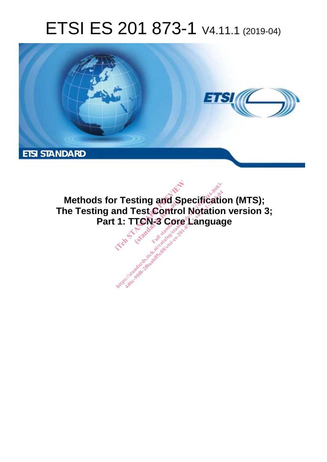# ETSI ES 201 873-1 V4.11.1 (2019-04)



**Methods for Testing and Specification (MTS); The Testing and Test Control Notation version 3; Part 1: TTCN-3 Core Language r Testing and Species**<br>ind Test Control No.<br>1: TTCN-3 Core La **Full draws.**<br>Fest Contro<br>**TCN-3** Core<br>Full standard: **http://www.defation.com/catalog/standards.item.ai/catalog/sister/sister/sister/sister/sister/sister/sister/sister/sister/sister/sister/sister/sister/sister/sister/sister/sister/sister/sister/sister/sister/sister/sister/si**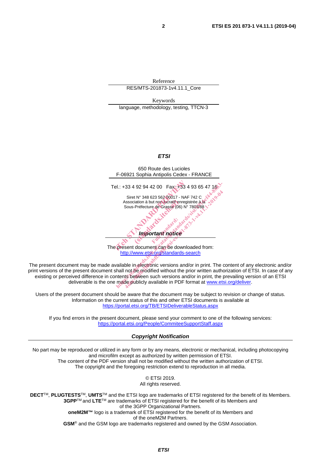Reference RES/MTS-201873-1v4.11.1\_Core

Keywords language, methodology, testing, TTCN-3

#### *ETSI*



The present document can be downloaded from: http://www.etsi.org/standards-search

The present document may be made available in electronic versions and/or in print. The content of any electronic and/or print versions of the present document shall not be modified without the prior written authorization of ETSI. In case of any existing or perceived difference in contents between such versions and/or in print, the prevailing version of an ETSI deliverable is the one made publicly available in PDF format at www.etsi.org/deliver.

Users of the present document should be aware that the document may be subject to revision or change of status. Information on the current status of this and other ETSI documents is available at https://portal.etsi.org/TB/ETSIDeliverableStatus.aspx

If you find errors in the present document, please send your comment to one of the following services: https://portal.etsi.org/People/CommiteeSupportStaff.aspx

*Copyright Notification* 

No part may be reproduced or utilized in any form or by any means, electronic or mechanical, including photocopying and microfilm except as authorized by written permission of ETSI. The content of the PDF version shall not be modified without the written authorization of ETSI. The copyright and the foregoing restriction extend to reproduction in all media.

> © ETSI 2019. All rights reserved.

**DECT**TM, **PLUGTESTS**TM, **UMTS**TM and the ETSI logo are trademarks of ETSI registered for the benefit of its Members. **3GPP**TM and **LTE**TM are trademarks of ETSI registered for the benefit of its Members and of the 3GPP Organizational Partners. **oneM2M™** logo is a trademark of ETSI registered for the benefit of its Members and of the oneM2M Partners. **GSM**® and the GSM logo are trademarks registered and owned by the GSM Association.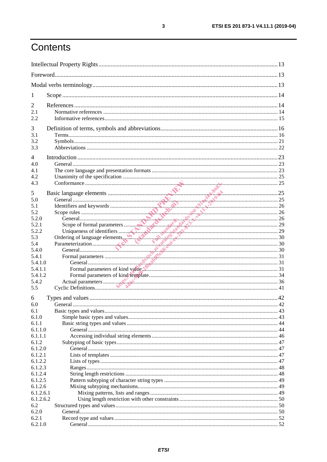# Contents

| 1                |                                                                                                                                                                                                                                |  |  |
|------------------|--------------------------------------------------------------------------------------------------------------------------------------------------------------------------------------------------------------------------------|--|--|
| 2                |                                                                                                                                                                                                                                |  |  |
| 2.1              |                                                                                                                                                                                                                                |  |  |
| 2.2              |                                                                                                                                                                                                                                |  |  |
| 3                |                                                                                                                                                                                                                                |  |  |
| 3.1              |                                                                                                                                                                                                                                |  |  |
| 3.2              |                                                                                                                                                                                                                                |  |  |
| 3.3              |                                                                                                                                                                                                                                |  |  |
| $\overline{4}$   |                                                                                                                                                                                                                                |  |  |
| 4.0              |                                                                                                                                                                                                                                |  |  |
| 4.1              |                                                                                                                                                                                                                                |  |  |
| 4.2              |                                                                                                                                                                                                                                |  |  |
| 4.3              |                                                                                                                                                                                                                                |  |  |
| 5                |                                                                                                                                                                                                                                |  |  |
| 5.0              | Examele the main and the transition of the main and the contraction of the contraction of the contraction of the contraction of the contraction of the contraction of the contraction of the contraction of the contraction of |  |  |
| 5.1              |                                                                                                                                                                                                                                |  |  |
| 5.2              |                                                                                                                                                                                                                                |  |  |
| 5.2.0            |                                                                                                                                                                                                                                |  |  |
| 5.2.1            |                                                                                                                                                                                                                                |  |  |
| 5.2.2            |                                                                                                                                                                                                                                |  |  |
| 5.3              |                                                                                                                                                                                                                                |  |  |
| 5.4              |                                                                                                                                                                                                                                |  |  |
| 5.4.0            |                                                                                                                                                                                                                                |  |  |
| 5.4.1            |                                                                                                                                                                                                                                |  |  |
| 5.4.1.0          |                                                                                                                                                                                                                                |  |  |
| 5.4.1.1          | Formal parameters of kind value with the communication of the 31                                                                                                                                                               |  |  |
| 5.4.1.2          |                                                                                                                                                                                                                                |  |  |
| 5.4.2<br>5.5     |                                                                                                                                                                                                                                |  |  |
|                  |                                                                                                                                                                                                                                |  |  |
| 6                |                                                                                                                                                                                                                                |  |  |
| 6.0              |                                                                                                                                                                                                                                |  |  |
| 6.1              |                                                                                                                                                                                                                                |  |  |
| 6.1.0<br>6.1.1   |                                                                                                                                                                                                                                |  |  |
| 6.1.1.0          |                                                                                                                                                                                                                                |  |  |
| 6.1.1.1          |                                                                                                                                                                                                                                |  |  |
| 6.1.2            |                                                                                                                                                                                                                                |  |  |
| 6.1.2.0          |                                                                                                                                                                                                                                |  |  |
| 6.1.2.1          |                                                                                                                                                                                                                                |  |  |
| 6.1.2.2          |                                                                                                                                                                                                                                |  |  |
| 6.1.2.3          |                                                                                                                                                                                                                                |  |  |
| 6.1.2.4          |                                                                                                                                                                                                                                |  |  |
| 6.1.2.5          |                                                                                                                                                                                                                                |  |  |
| 6.1.2.6          |                                                                                                                                                                                                                                |  |  |
| 6.1.2.6.1        |                                                                                                                                                                                                                                |  |  |
| 6.1.2.6.2        |                                                                                                                                                                                                                                |  |  |
| 6.2              |                                                                                                                                                                                                                                |  |  |
| 6.2.0            |                                                                                                                                                                                                                                |  |  |
| 6.2.1<br>6.2.1.0 |                                                                                                                                                                                                                                |  |  |
|                  |                                                                                                                                                                                                                                |  |  |

 $\overline{\mathbf{3}}$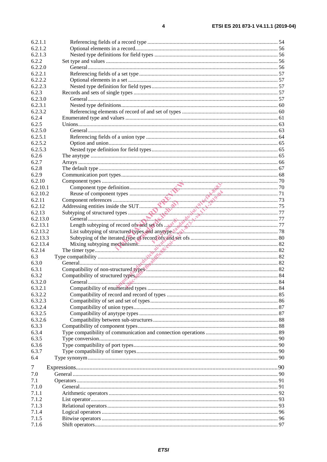| 6.2.1.2        |  |
|----------------|--|
| 6.2.1.3        |  |
| 6.2.2          |  |
| 6.2.2.0        |  |
| 6.2.2.1        |  |
| 6.2.2.2        |  |
| 6.2.2.3        |  |
| 6.2.3          |  |
| 6.2.3.0        |  |
| 6.2.3.1        |  |
| 6.2.3.2        |  |
| 6.2.4          |  |
| 6.2.5          |  |
| 6.2.5.0        |  |
| 6.2.5.1        |  |
| 6.2.5.2        |  |
| 6.2.5.3        |  |
| 6.2.6          |  |
| 6.2.7          |  |
| 6.2.8          |  |
| 6.2.9          |  |
|                |  |
| 6.2.10         |  |
| 6.2.10.1       |  |
| 6.2.10.2       |  |
| 6.2.11         |  |
| 6.2.12         |  |
| 6.2.13         |  |
| 6.2.13.0       |  |
| 6.2.13.1       |  |
| 6.2.13.2       |  |
| 6.2.13.3       |  |
| 6.2.13.4       |  |
| 6.2.14         |  |
| 6.3            |  |
| 6.3.0          |  |
|                |  |
| 6.3.1          |  |
| 6.3.2          |  |
| 6.3.2.0        |  |
| 6.3.2.1        |  |
| 6.3.2.2        |  |
| 6.3.2.3        |  |
| 6.3.2.4        |  |
|                |  |
| 6.3.2.5        |  |
| 6.3.2.6        |  |
| 6.3.3          |  |
| 6.3.4          |  |
| 6.3.5          |  |
| 6.3.6          |  |
| 6.3.7          |  |
| 6.4            |  |
| 7              |  |
| 7.0            |  |
| 7.1            |  |
| 7.1.0          |  |
|                |  |
| 7.1.1<br>7.1.2 |  |
|                |  |
| 7.1.3          |  |
| 7.1.4          |  |
| 7.1.5<br>7.1.6 |  |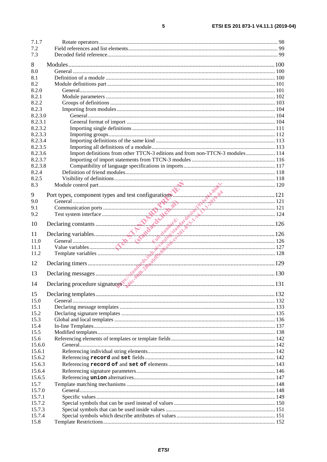| 7.1.7   |                                                                               |  |
|---------|-------------------------------------------------------------------------------|--|
| 7.2     |                                                                               |  |
| 7.3     |                                                                               |  |
| 8       |                                                                               |  |
| 8.0     |                                                                               |  |
|         |                                                                               |  |
| 8.1     |                                                                               |  |
| 8.2     |                                                                               |  |
| 8.2.0   |                                                                               |  |
| 8.2.1   |                                                                               |  |
| 8.2.2   |                                                                               |  |
| 8.2.3   |                                                                               |  |
| 8.2.3.0 |                                                                               |  |
| 8.2.3.1 |                                                                               |  |
| 8.2.3.2 |                                                                               |  |
| 8.2.3.3 |                                                                               |  |
| 8.2.3.4 |                                                                               |  |
| 8.2.3.5 |                                                                               |  |
| 8.2.3.6 | Import definitions from other TTCN-3 editions and from non-TTCN-3 modules 114 |  |
| 8.2.3.7 |                                                                               |  |
| 8.2.3.8 |                                                                               |  |
| 8.2.4   |                                                                               |  |
| 8.2.5   |                                                                               |  |
| 8.3     |                                                                               |  |
|         |                                                                               |  |
| 9       |                                                                               |  |
| 9.0     |                                                                               |  |
| 9.1     |                                                                               |  |
| 9.2     |                                                                               |  |
| 10      |                                                                               |  |
|         |                                                                               |  |
| 11      |                                                                               |  |
| 11.0    |                                                                               |  |
| 11.1    |                                                                               |  |
| 11.2    |                                                                               |  |
|         |                                                                               |  |
| 12      |                                                                               |  |
| 13      |                                                                               |  |
|         |                                                                               |  |
| 14      |                                                                               |  |
|         |                                                                               |  |
| 15      |                                                                               |  |
| 15.0    |                                                                               |  |
| 15.1    |                                                                               |  |
| 15.2    |                                                                               |  |
| 15.3    |                                                                               |  |
| 15.4    |                                                                               |  |
| 15.5    |                                                                               |  |
| 15.6    |                                                                               |  |
| 15.6.0  |                                                                               |  |
| 15.6.1  |                                                                               |  |
| 15.6.2  |                                                                               |  |
| 15.6.3  |                                                                               |  |
| 15.6.4  |                                                                               |  |
| 15.6.5  |                                                                               |  |
| 15.7    |                                                                               |  |
|         |                                                                               |  |
| 15.7.0  |                                                                               |  |
| 15.7.1  |                                                                               |  |
| 15.7.2  |                                                                               |  |
| 15.7.3  |                                                                               |  |
| 15.7.4  |                                                                               |  |
| 15.8    |                                                                               |  |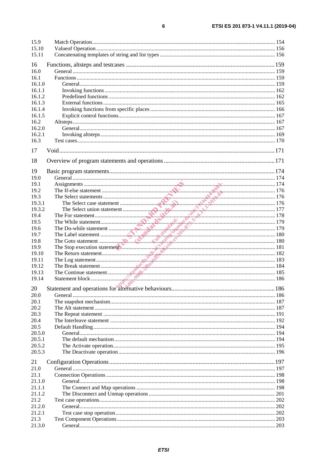| 15.9         |                                                                                                                                                                                                                                |  |
|--------------|--------------------------------------------------------------------------------------------------------------------------------------------------------------------------------------------------------------------------------|--|
| 15.10        |                                                                                                                                                                                                                                |  |
| 15.11        |                                                                                                                                                                                                                                |  |
| 16           |                                                                                                                                                                                                                                |  |
| 16.0         |                                                                                                                                                                                                                                |  |
| 16.1         |                                                                                                                                                                                                                                |  |
| 16.1.0       |                                                                                                                                                                                                                                |  |
| 16.1.1       |                                                                                                                                                                                                                                |  |
| 16.1.2       |                                                                                                                                                                                                                                |  |
| 16.1.3       |                                                                                                                                                                                                                                |  |
| 16.1.4       |                                                                                                                                                                                                                                |  |
| 16.1.5       |                                                                                                                                                                                                                                |  |
| 16.2         |                                                                                                                                                                                                                                |  |
| 16.2.0       |                                                                                                                                                                                                                                |  |
| 16.2.1       |                                                                                                                                                                                                                                |  |
| 16.3         |                                                                                                                                                                                                                                |  |
|              |                                                                                                                                                                                                                                |  |
| 17           |                                                                                                                                                                                                                                |  |
| 18           |                                                                                                                                                                                                                                |  |
|              |                                                                                                                                                                                                                                |  |
| 19           |                                                                                                                                                                                                                                |  |
| 19.0         |                                                                                                                                                                                                                                |  |
| 19.1<br>19.2 |                                                                                                                                                                                                                                |  |
| 19.3         | The Relect statement and the statement and the set of the Select case statement and the select case statement the select case statement and the Select case statement and the Select case in the select case statement and the |  |
| 19.3.1       |                                                                                                                                                                                                                                |  |
| 19.3.2       |                                                                                                                                                                                                                                |  |
|              |                                                                                                                                                                                                                                |  |
| 19.4         |                                                                                                                                                                                                                                |  |
| 19.5         |                                                                                                                                                                                                                                |  |
| 19.6         |                                                                                                                                                                                                                                |  |
| 19.7<br>19.8 |                                                                                                                                                                                                                                |  |
| 19.9         |                                                                                                                                                                                                                                |  |
| 19.10        |                                                                                                                                                                                                                                |  |
| 19.11        |                                                                                                                                                                                                                                |  |
| 19.12        |                                                                                                                                                                                                                                |  |
| 19.13        |                                                                                                                                                                                                                                |  |
| 19.14        |                                                                                                                                                                                                                                |  |
|              | AN ACCORD COMMUNICATION CONTINUES.                                                                                                                                                                                             |  |
| 20           |                                                                                                                                                                                                                                |  |
| 20.0         |                                                                                                                                                                                                                                |  |
| 20.1         |                                                                                                                                                                                                                                |  |
| 20.2         |                                                                                                                                                                                                                                |  |
| 20.3         |                                                                                                                                                                                                                                |  |
| 20.4         |                                                                                                                                                                                                                                |  |
| 20.5         |                                                                                                                                                                                                                                |  |
| 20.5.0       |                                                                                                                                                                                                                                |  |
| 20.5.1       |                                                                                                                                                                                                                                |  |
| 20.5.2       |                                                                                                                                                                                                                                |  |
| 20.5.3       |                                                                                                                                                                                                                                |  |
| 21           |                                                                                                                                                                                                                                |  |
| 21.0         |                                                                                                                                                                                                                                |  |
| 21.1         |                                                                                                                                                                                                                                |  |
| 21.1.0       |                                                                                                                                                                                                                                |  |
| 21.1.1       |                                                                                                                                                                                                                                |  |
| 21.1.2       |                                                                                                                                                                                                                                |  |
| 21.2         |                                                                                                                                                                                                                                |  |
| 21.2.0       |                                                                                                                                                                                                                                |  |
| 21.2.1       |                                                                                                                                                                                                                                |  |
| 21.3         |                                                                                                                                                                                                                                |  |
| 21.3.0       |                                                                                                                                                                                                                                |  |

 $\bf 6$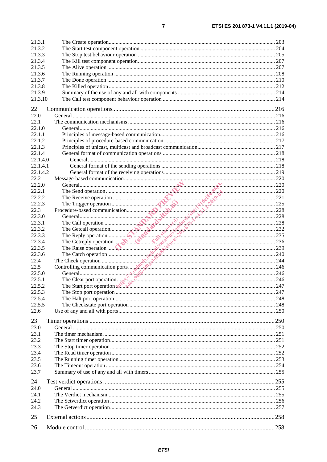| 21.3.1   |                                 |      |
|----------|---------------------------------|------|
| 21.3.2   |                                 |      |
| 21.3.3   |                                 |      |
| 21.3.4   |                                 |      |
| 21.3.5   |                                 |      |
|          |                                 |      |
| 21.3.6   |                                 |      |
| 21.3.7   |                                 |      |
| 21.3.8   |                                 |      |
| 21.3.9   |                                 |      |
| 21.3.10  |                                 |      |
|          |                                 |      |
| 22       |                                 |      |
| 22.0     |                                 |      |
| 22.1     |                                 |      |
| 22.1.0   |                                 |      |
| 22.1.1   |                                 |      |
| 22.1.2   |                                 |      |
|          |                                 |      |
| 22.1.3   |                                 |      |
| 22.1.4   |                                 |      |
| 22.1.4.0 |                                 |      |
| 22.1.4.1 |                                 |      |
| 22.1.4.2 |                                 |      |
| 22.2     |                                 |      |
| 22.2.0   |                                 |      |
| 22.2.1   |                                 |      |
| 22.2.2   |                                 |      |
|          |                                 |      |
| 22.2.3   |                                 |      |
| 22.3     |                                 |      |
| 22.3.0   |                                 |      |
| 22.3.1   |                                 |      |
| 22.3.2   |                                 |      |
| 22.3.3   |                                 |      |
| 22.3.4   |                                 |      |
|          |                                 |      |
|          |                                 |      |
| 22.3.5   |                                 |      |
| 22.3.6   |                                 |      |
| 22.4     |                                 |      |
| 22.5     |                                 |      |
| 22.5.0   |                                 |      |
| 22.5.1   |                                 |      |
| 22.5.2   | The Start port operation with N | .247 |
| 22.5.3   |                                 |      |
| 22.5.4   |                                 |      |
| 22.5.5   |                                 |      |
| 22.6     |                                 |      |
|          |                                 |      |
| 23       |                                 |      |
| 23.0     |                                 |      |
|          |                                 |      |
| 23.1     |                                 |      |
| 23.2     |                                 |      |
| 23.3     |                                 |      |
| 23.4     |                                 |      |
| 23.5     |                                 |      |
| 23.6     |                                 |      |
| 23.7     |                                 |      |
|          |                                 |      |
| 24       |                                 |      |
| 24.0     |                                 |      |
| 24.1     |                                 |      |
| 24.2     |                                 |      |
| 24.3     |                                 |      |
|          |                                 |      |
| 25       |                                 |      |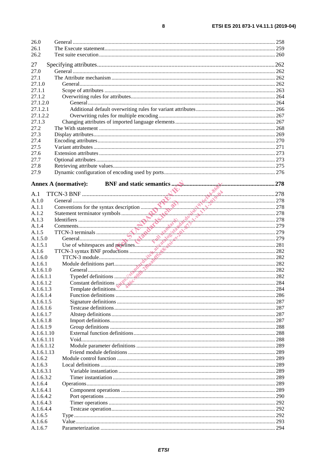| 26.0<br>26.1<br>26.2 |                                                                                                                                                                                                                                                                                                                                                                                                                                                                                                                                                                                                                                                           |     |
|----------------------|-----------------------------------------------------------------------------------------------------------------------------------------------------------------------------------------------------------------------------------------------------------------------------------------------------------------------------------------------------------------------------------------------------------------------------------------------------------------------------------------------------------------------------------------------------------------------------------------------------------------------------------------------------------|-----|
|                      |                                                                                                                                                                                                                                                                                                                                                                                                                                                                                                                                                                                                                                                           |     |
| 27                   |                                                                                                                                                                                                                                                                                                                                                                                                                                                                                                                                                                                                                                                           |     |
| 27.0<br>27.1         |                                                                                                                                                                                                                                                                                                                                                                                                                                                                                                                                                                                                                                                           |     |
| 27.1.0               |                                                                                                                                                                                                                                                                                                                                                                                                                                                                                                                                                                                                                                                           |     |
| 27.1.1               |                                                                                                                                                                                                                                                                                                                                                                                                                                                                                                                                                                                                                                                           |     |
| 27.1.2               |                                                                                                                                                                                                                                                                                                                                                                                                                                                                                                                                                                                                                                                           |     |
| 27.1.2.0             |                                                                                                                                                                                                                                                                                                                                                                                                                                                                                                                                                                                                                                                           |     |
| 27.1.2.1             |                                                                                                                                                                                                                                                                                                                                                                                                                                                                                                                                                                                                                                                           |     |
| 27.1.2.2             |                                                                                                                                                                                                                                                                                                                                                                                                                                                                                                                                                                                                                                                           |     |
| 27.1.3               |                                                                                                                                                                                                                                                                                                                                                                                                                                                                                                                                                                                                                                                           |     |
| 27.2                 |                                                                                                                                                                                                                                                                                                                                                                                                                                                                                                                                                                                                                                                           |     |
| 27.3                 |                                                                                                                                                                                                                                                                                                                                                                                                                                                                                                                                                                                                                                                           |     |
| 27.4                 |                                                                                                                                                                                                                                                                                                                                                                                                                                                                                                                                                                                                                                                           |     |
| 27.5                 |                                                                                                                                                                                                                                                                                                                                                                                                                                                                                                                                                                                                                                                           |     |
| 27.6                 |                                                                                                                                                                                                                                                                                                                                                                                                                                                                                                                                                                                                                                                           |     |
| 27.7                 |                                                                                                                                                                                                                                                                                                                                                                                                                                                                                                                                                                                                                                                           |     |
| 27.8                 |                                                                                                                                                                                                                                                                                                                                                                                                                                                                                                                                                                                                                                                           |     |
| 27.9                 |                                                                                                                                                                                                                                                                                                                                                                                                                                                                                                                                                                                                                                                           |     |
|                      | <b>Annex A (normative):</b><br>$\begin{array}{r} \text{ATCN-3 BNF} \\\text{General} \\\text{Commonents} \\\text{Commonents} \\\text{Commonents} \\\text{Commonents} \\\text{Commonents} \\\text{Commonents} \\\text{Commonents} \\\text{OTCN-3 terms} \\\text{OTCN-4 numbers} \\\text{OTCN-5} \\\text{OMOME of which is 278} \\\text{OTCN-6} \\\text{OTCN-7} \\\text{OTCN-8 matrix BNF products} \\\text{OMOME of the following matrices} \\\text{OMOME of the following matrices} \\\text{OMOME of the following matrices} \\\text{OMOME of the following matrices} \\\text{OMODE of the following matrices} \\\text{OMODE of the following matrices} \$ |     |
| A.1                  |                                                                                                                                                                                                                                                                                                                                                                                                                                                                                                                                                                                                                                                           |     |
| A.1.0                |                                                                                                                                                                                                                                                                                                                                                                                                                                                                                                                                                                                                                                                           |     |
| A.1.1                |                                                                                                                                                                                                                                                                                                                                                                                                                                                                                                                                                                                                                                                           |     |
| A.1.2                |                                                                                                                                                                                                                                                                                                                                                                                                                                                                                                                                                                                                                                                           |     |
| A.1.3                |                                                                                                                                                                                                                                                                                                                                                                                                                                                                                                                                                                                                                                                           |     |
| A.1.4                |                                                                                                                                                                                                                                                                                                                                                                                                                                                                                                                                                                                                                                                           |     |
| A.1.5                |                                                                                                                                                                                                                                                                                                                                                                                                                                                                                                                                                                                                                                                           |     |
| A.1.5.0              |                                                                                                                                                                                                                                                                                                                                                                                                                                                                                                                                                                                                                                                           |     |
| A.1.5.1              |                                                                                                                                                                                                                                                                                                                                                                                                                                                                                                                                                                                                                                                           |     |
| A.1.6                |                                                                                                                                                                                                                                                                                                                                                                                                                                                                                                                                                                                                                                                           |     |
| A.1.6.0<br>A.1.6.1   |                                                                                                                                                                                                                                                                                                                                                                                                                                                                                                                                                                                                                                                           |     |
| A.1.6.1.0            |                                                                                                                                                                                                                                                                                                                                                                                                                                                                                                                                                                                                                                                           |     |
| A.1.6.1.1            |                                                                                                                                                                                                                                                                                                                                                                                                                                                                                                                                                                                                                                                           |     |
| A 1 6 1 2            |                                                                                                                                                                                                                                                                                                                                                                                                                                                                                                                                                                                                                                                           |     |
| A.1.6.1.3            | Constant definitions $8\sqrt{8}$                                                                                                                                                                                                                                                                                                                                                                                                                                                                                                                                                                                                                          |     |
| A.1.6.1.4            |                                                                                                                                                                                                                                                                                                                                                                                                                                                                                                                                                                                                                                                           |     |
| A.1.6.1.5            |                                                                                                                                                                                                                                                                                                                                                                                                                                                                                                                                                                                                                                                           | 287 |
| A.1.6.1.6            |                                                                                                                                                                                                                                                                                                                                                                                                                                                                                                                                                                                                                                                           | 287 |
| A.1.6.1.7            |                                                                                                                                                                                                                                                                                                                                                                                                                                                                                                                                                                                                                                                           | 287 |
| A.1.6.1.8            |                                                                                                                                                                                                                                                                                                                                                                                                                                                                                                                                                                                                                                                           |     |
| A.1.6.1.9            |                                                                                                                                                                                                                                                                                                                                                                                                                                                                                                                                                                                                                                                           |     |
| A.1.6.1.10           |                                                                                                                                                                                                                                                                                                                                                                                                                                                                                                                                                                                                                                                           |     |
| A.1.6.1.11           |                                                                                                                                                                                                                                                                                                                                                                                                                                                                                                                                                                                                                                                           |     |
| A.1.6.1.12           |                                                                                                                                                                                                                                                                                                                                                                                                                                                                                                                                                                                                                                                           |     |
| A.1.6.1.13           |                                                                                                                                                                                                                                                                                                                                                                                                                                                                                                                                                                                                                                                           |     |
| A.1.6.2              |                                                                                                                                                                                                                                                                                                                                                                                                                                                                                                                                                                                                                                                           |     |
| A.1.6.3<br>A.1.6.3.1 |                                                                                                                                                                                                                                                                                                                                                                                                                                                                                                                                                                                                                                                           |     |
| A.1.6.3.2            |                                                                                                                                                                                                                                                                                                                                                                                                                                                                                                                                                                                                                                                           |     |
| A.1.6.4              |                                                                                                                                                                                                                                                                                                                                                                                                                                                                                                                                                                                                                                                           | 289 |
| A.1.6.4.1            |                                                                                                                                                                                                                                                                                                                                                                                                                                                                                                                                                                                                                                                           | 289 |
| A.1.6.4.2            |                                                                                                                                                                                                                                                                                                                                                                                                                                                                                                                                                                                                                                                           |     |
| A.1.6.4.3            |                                                                                                                                                                                                                                                                                                                                                                                                                                                                                                                                                                                                                                                           |     |
| A.1.6.4.4            |                                                                                                                                                                                                                                                                                                                                                                                                                                                                                                                                                                                                                                                           |     |
| A.1.6.5              |                                                                                                                                                                                                                                                                                                                                                                                                                                                                                                                                                                                                                                                           |     |
| A.1.6.6              |                                                                                                                                                                                                                                                                                                                                                                                                                                                                                                                                                                                                                                                           |     |
| A.1.6.7              |                                                                                                                                                                                                                                                                                                                                                                                                                                                                                                                                                                                                                                                           |     |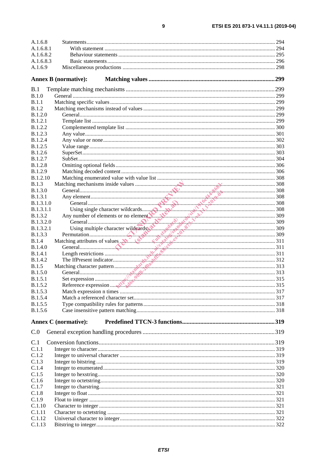| A.1.6.8                            |                                                                                                                                                                                                                                            |  |
|------------------------------------|--------------------------------------------------------------------------------------------------------------------------------------------------------------------------------------------------------------------------------------------|--|
| A.1.6.8.1                          |                                                                                                                                                                                                                                            |  |
| A.1.6.8.2                          |                                                                                                                                                                                                                                            |  |
| A.1.6.8.3                          |                                                                                                                                                                                                                                            |  |
| A.1.6.9                            |                                                                                                                                                                                                                                            |  |
|                                    | <b>Annex B</b> (normative):                                                                                                                                                                                                                |  |
| B.1                                |                                                                                                                                                                                                                                            |  |
| B.1.0                              |                                                                                                                                                                                                                                            |  |
| B.1.1                              |                                                                                                                                                                                                                                            |  |
| B.1.2                              |                                                                                                                                                                                                                                            |  |
| <b>B.1.2.0</b>                     |                                                                                                                                                                                                                                            |  |
| B.1.2.1                            |                                                                                                                                                                                                                                            |  |
| <b>B.1.2.2</b>                     |                                                                                                                                                                                                                                            |  |
| <b>B.1.2.3</b>                     |                                                                                                                                                                                                                                            |  |
| <b>B.1.2.4</b>                     |                                                                                                                                                                                                                                            |  |
| <b>B.1.2.5</b>                     |                                                                                                                                                                                                                                            |  |
| <b>B.1.2.6</b>                     |                                                                                                                                                                                                                                            |  |
| <b>B.1.2.7</b>                     |                                                                                                                                                                                                                                            |  |
| <b>B.1.2.8</b>                     |                                                                                                                                                                                                                                            |  |
| <b>B.1.2.9</b>                     |                                                                                                                                                                                                                                            |  |
| <b>B.1.2.10</b>                    |                                                                                                                                                                                                                                            |  |
| B.1.3                              |                                                                                                                                                                                                                                            |  |
| <b>B.1.3.0</b>                     |                                                                                                                                                                                                                                            |  |
| B.1.3.1                            |                                                                                                                                                                                                                                            |  |
| <b>B.1.3.1.0</b>                   |                                                                                                                                                                                                                                            |  |
| <b>B.1.3.1.1</b><br><b>B.1.3.2</b> |                                                                                                                                                                                                                                            |  |
| B.1.3.2.0                          |                                                                                                                                                                                                                                            |  |
| B.1.3.2.1                          |                                                                                                                                                                                                                                            |  |
| <b>B.1.3.3</b>                     |                                                                                                                                                                                                                                            |  |
| B.1.4                              |                                                                                                                                                                                                                                            |  |
| <b>B.1.4.0</b>                     | Matching mechanisms inside values<br>Matching mechanisms inside values<br>Matching single character wildcards<br>May number of elements or no element<br>Maximum and the character wildcards<br>Any number of elements or no element<br>Sa |  |
| <b>B.1.4.1</b>                     |                                                                                                                                                                                                                                            |  |
| <b>B.1.4.2</b>                     |                                                                                                                                                                                                                                            |  |
| B.1.5                              |                                                                                                                                                                                                                                            |  |
| <b>B.1.5.0</b>                     |                                                                                                                                                                                                                                            |  |
| <b>B.1.5.1</b>                     |                                                                                                                                                                                                                                            |  |
| B.1.5.2                            |                                                                                                                                                                                                                                            |  |
| <b>B.1.5.3</b>                     |                                                                                                                                                                                                                                            |  |
| <b>B.1.5.4</b>                     |                                                                                                                                                                                                                                            |  |
| <b>B.1.5.5</b>                     |                                                                                                                                                                                                                                            |  |
| B.1.5.6                            |                                                                                                                                                                                                                                            |  |
|                                    | <b>Annex C</b> (normative):                                                                                                                                                                                                                |  |
| C.0                                |                                                                                                                                                                                                                                            |  |
| C.1                                |                                                                                                                                                                                                                                            |  |
| C.1.1                              |                                                                                                                                                                                                                                            |  |
| C.1.2                              |                                                                                                                                                                                                                                            |  |
| C.1.3                              |                                                                                                                                                                                                                                            |  |
|                                    |                                                                                                                                                                                                                                            |  |
|                                    |                                                                                                                                                                                                                                            |  |
| C.1.4                              |                                                                                                                                                                                                                                            |  |
| C.1.5<br>C.1.6                     |                                                                                                                                                                                                                                            |  |
| C.1.7                              |                                                                                                                                                                                                                                            |  |
| C.1.8                              |                                                                                                                                                                                                                                            |  |
| C.1.9                              |                                                                                                                                                                                                                                            |  |
| C.1.10                             |                                                                                                                                                                                                                                            |  |
| C.1.11                             |                                                                                                                                                                                                                                            |  |
| C.1.12<br>C.1.13                   |                                                                                                                                                                                                                                            |  |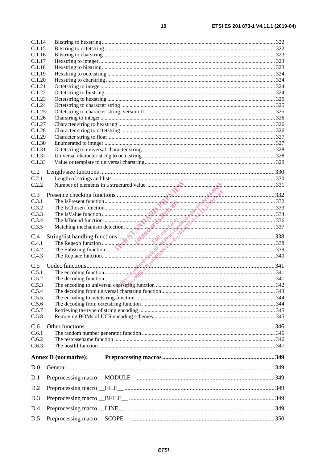| C.1.14 |                             |     |
|--------|-----------------------------|-----|
| C.1.15 |                             |     |
| C.1.16 |                             |     |
| C.1.17 |                             |     |
| C.1.18 |                             |     |
| C.1.19 |                             |     |
| C.1.20 |                             |     |
| C.1.21 |                             |     |
| C.1.22 |                             |     |
| C.1.23 |                             |     |
| C.1.24 |                             |     |
| C.1.25 |                             |     |
| C.1.26 |                             |     |
| C.1.27 |                             |     |
| C.1.28 |                             |     |
| C.1.29 |                             |     |
| C.1.30 |                             |     |
| C.1.31 |                             |     |
| C.1.32 |                             |     |
| C.1.33 |                             |     |
|        |                             |     |
| C.2    |                             |     |
| C.2.1  |                             |     |
| C.2.2  |                             |     |
| C.3    |                             |     |
| C.3.1  |                             |     |
| C.3.2  |                             |     |
| C.3.3  |                             |     |
| C.3.4  |                             |     |
| C.3.5  |                             |     |
|        |                             |     |
|        |                             |     |
| C.4    |                             |     |
| C.4.1  |                             |     |
| C.4.2  |                             |     |
| C.4.3  |                             |     |
|        |                             |     |
| C.5    |                             |     |
| C.5.1  |                             |     |
| C.5.2  |                             |     |
| C.5.3  |                             | 342 |
| C.5.4  |                             |     |
| C.5.5  |                             |     |
| C.5.6  |                             |     |
| C.5.7  |                             |     |
| C.5.8  |                             |     |
| C.6    |                             |     |
| C.6.1  |                             |     |
| C.6.2  |                             |     |
| C.6.3  |                             |     |
|        |                             |     |
|        | <b>Annex D</b> (normative): |     |
| D.0    |                             |     |
| D.1    |                             |     |
| D.2    |                             |     |
| D.3    |                             |     |
| D.4    |                             |     |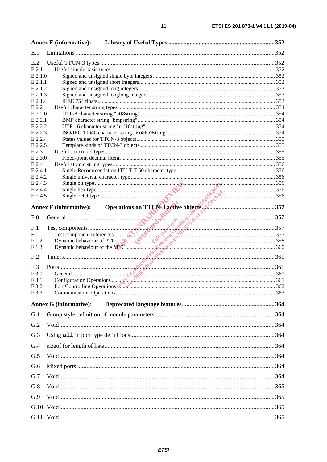|                    | <b>Annex E</b> (informative): |                                                                                                                                                                                                                                |  |
|--------------------|-------------------------------|--------------------------------------------------------------------------------------------------------------------------------------------------------------------------------------------------------------------------------|--|
| E.1                |                               |                                                                                                                                                                                                                                |  |
| E.2                |                               |                                                                                                                                                                                                                                |  |
| E.2.1              |                               |                                                                                                                                                                                                                                |  |
| E.2.1.0            |                               |                                                                                                                                                                                                                                |  |
| E.2.1.1<br>E.2.1.2 |                               |                                                                                                                                                                                                                                |  |
| E.2.1.3            |                               |                                                                                                                                                                                                                                |  |
| E.2.1.4            |                               |                                                                                                                                                                                                                                |  |
| E.2.2              |                               |                                                                                                                                                                                                                                |  |
| E.2.2.0            |                               |                                                                                                                                                                                                                                |  |
| E.2.2.1            |                               |                                                                                                                                                                                                                                |  |
| E.2.2.2            |                               |                                                                                                                                                                                                                                |  |
| E.2.2.3<br>E.2.2.4 |                               |                                                                                                                                                                                                                                |  |
| E.2.2.5            |                               |                                                                                                                                                                                                                                |  |
| E.2.3              |                               |                                                                                                                                                                                                                                |  |
| E.2.3.0            |                               |                                                                                                                                                                                                                                |  |
| E.2.4              |                               |                                                                                                                                                                                                                                |  |
| E.2.4.1            |                               |                                                                                                                                                                                                                                |  |
| E.2.4.2<br>E.2.4.3 |                               |                                                                                                                                                                                                                                |  |
| E.2.4.4            |                               |                                                                                                                                                                                                                                |  |
| E.2.4.5            |                               |                                                                                                                                                                                                                                |  |
|                    |                               |                                                                                                                                                                                                                                |  |
|                    | <b>Annex F</b> (informative): |                                                                                                                                                                                                                                |  |
| F.0                |                               |                                                                                                                                                                                                                                |  |
| F <sub>.1</sub>    |                               |                                                                                                                                                                                                                                |  |
| F.1.1              |                               |                                                                                                                                                                                                                                |  |
| F.1.2              |                               |                                                                                                                                                                                                                                |  |
| F.1.3              |                               |                                                                                                                                                                                                                                |  |
| F <sub>.2</sub>    |                               | SERIES CONFIDENTIAL CONTINUES CONTINUES CONTINUES ON THE CONTINUES OF THE CONTINUES OF THE CONTINUES OF THE CONTINUES OF THE CONTINUES OF THE CONTINUES OF THE CONTINUES OF THE CONTINUES OF THE CONTINUES OF THE CONTINUES OF |  |
|                    |                               |                                                                                                                                                                                                                                |  |
| F.3<br>F.3.0       |                               |                                                                                                                                                                                                                                |  |
| F.3.1              |                               |                                                                                                                                                                                                                                |  |
| F.3.2              |                               | Port Controlling Operations                                                                                                                                                                                                    |  |
| F.3.3              |                               |                                                                                                                                                                                                                                |  |
|                    | <b>Annex G (informative):</b> |                                                                                                                                                                                                                                |  |
| G.1                |                               |                                                                                                                                                                                                                                |  |
| G.2                |                               |                                                                                                                                                                                                                                |  |
| G.3                |                               |                                                                                                                                                                                                                                |  |
| G.4                |                               |                                                                                                                                                                                                                                |  |
| G.5                |                               |                                                                                                                                                                                                                                |  |
| G.6                |                               |                                                                                                                                                                                                                                |  |
| G.7                |                               |                                                                                                                                                                                                                                |  |
| G.8                |                               |                                                                                                                                                                                                                                |  |
| G.9                |                               |                                                                                                                                                                                                                                |  |
|                    |                               |                                                                                                                                                                                                                                |  |
|                    |                               |                                                                                                                                                                                                                                |  |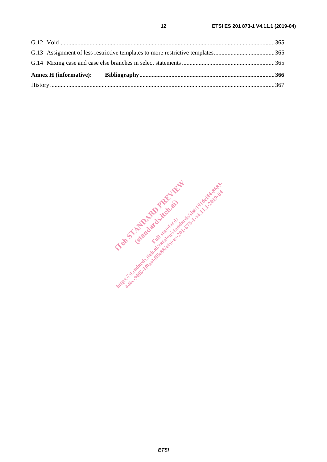IT and Francesco de la Constantinople (standards.iteh.ai) **Https://standards.iteh.ai/catalog/standards.iteh.ai/catalogue**<br>https://sistem.ai/catalogue.ai/catalogue.ai/catalogue.ai/catalogue.ai/catalogue.ai/catalogue.ai/catalogue.ai/catalogue.ai/catalogue.ai/catalogue.ai/catalogue.